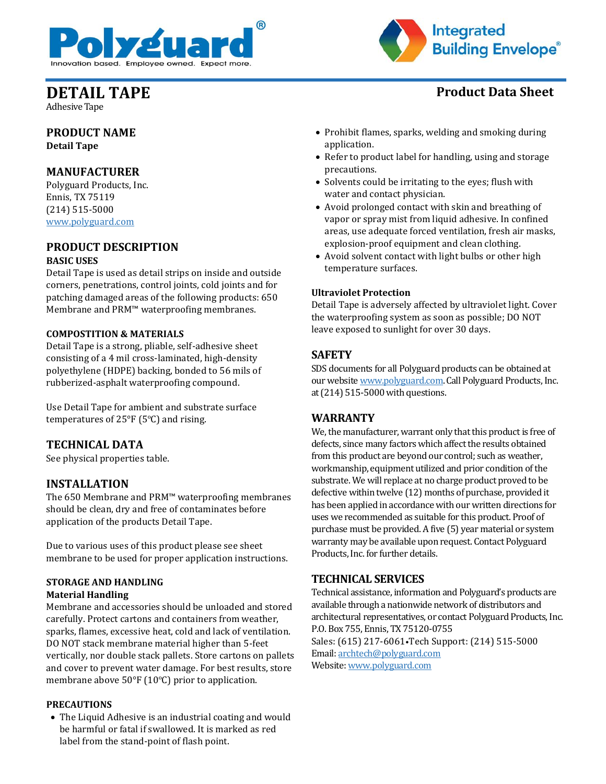



Adhesive Tape

## **PRODUCT NAME Detail Tape**

## **MANUFACTURER**

Polyguard Products, Inc. Ennis, TX 75119 (214) 515-5000 [www.polyguard.com](http://www.polyguard.com/)

### **PRODUCT DESCRIPTION BASIC USES**

Detail Tape is used as detail strips on inside and outside corners, penetrations, control joints, cold joints and for patching damaged areas of the following products: 650 Membrane and PRM™ waterproofing membranes.

## **COMPOSTITION & MATERIALS**

Detail Tape is a strong, pliable, self-adhesive sheet consisting of a 4 mil cross-laminated, high-density polyethylene (HDPE) backing, bonded to 56 mils of rubberized-asphalt waterproofing compound.

Use Detail Tape for ambient and substrate surface temperatures of 25°F (5ºC) and rising.

## **TECHNICAL DATA**

See physical properties table.

## **INSTALLATION**

The 650 Membrane and PRM™ waterproofing membranes should be clean, dry and free of contaminates before application of the products Detail Tape.

Due to various uses of this product please see sheet membrane to be used for proper application instructions.

#### **STORAGE AND HANDLING Material Handling**

Membrane and accessories should be unloaded and stored carefully. Protect cartons and containers from weather, sparks, flames, excessive heat, cold and lack of ventilation. DO NOT stack membrane material higher than 5-feet vertically, nor double stack pallets. Store cartons on pallets and cover to prevent water damage. For best results, store membrane above 50°F (10ºC) prior to application.

#### **PRECAUTIONS**

• The Liquid Adhesive is an industrial coating and would be harmful or fatal if swallowed. It is marked as red label from the stand-point of flash point.

- Prohibit flames, sparks, welding and smoking during
- application.
- Refer to product label for handling, using and storage precautions.
- Solvents could be irritating to the eyes; flush with water and contact physician.
- Avoid prolonged contact with skin and breathing of vapor or spray mist from liquid adhesive. In confined areas, use adequate forced ventilation, fresh air masks, explosion-proof equipment and clean clothing.
- Avoid solvent contact with light bulbs or other high temperature surfaces.

#### **Ultraviolet Protection**

Detail Tape is adversely affected by ultraviolet light. Cover the waterproofing system as soon as possible; DO NOT leave exposed to sunlight for over 30 days.

## **SAFETY**

SDS documents for all Polyguard products can be obtained at our websit[e www.polyguard.com.](http://www.polyguard.com/) Call Polyguard Products, Inc. at (214) 515-5000 with questions.

## **WARRANTY**

We, the manufacturer, warrant only that this product is free of defects, since many factors which affect the results obtained from this product are beyond our control; such as weather, workmanship, equipment utilized and prior condition of the substrate. We will replace at no charge product proved to be defective within twelve (12) months of purchase, provided it has been applied in accordance with our written directions for uses we recommended as suitable for this product. Proof of purchase must be provided. A five (5) year material or system warranty may be available upon request. Contact Polyguard Products, Inc. for further details.

## **TECHNICAL SERVICES**

Technical assistance, information and Polyguard's products are available through a nationwide network of distributors and architectural representatives, or contact Polyguard Products, Inc. P.O. Box 755, Ennis, TX 75120-0755 Sales: (615) 217-6061•Tech Support: (214) 515-5000 Email: [archtech@polyguard.com](mailto:archtech@polyguard.com) Website: [www.polyguard.com](http://www.polyguard.com/)

# **DETAIL TAPE Product Data Sheet**